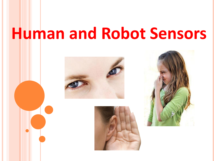# **Human and Robot Sensors**





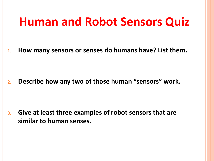## **Human and Robot Sensors Quiz**

**1. How many sensors or senses do humans have? List them.**

**2. Describe how any two of those human "sensors" work.**

**3. Give at least three examples of robot sensors that are similar to human senses.**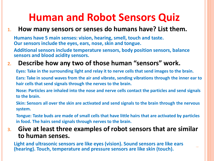### **Human and Robot Sensors Quiz**

#### **1. How many sensors or senses do humans have? List them.**

**Humans have 5 main senses: vision, hearing, smell, touch and taste. Our sensors include the eyes, ears, nose, skin and tongue.** 

**Additional sensors include temperature sensors, body position sensors, balance sensors and blood acidity sensors.**

### **2. Describe how any two of those human "sensors" work.**

**Eyes: Take in the surrounding light and relay it to nerve cells that send images to the brain. Ears: Take in sound waves from the air and vibrate, sending vibrations through the inner ear to hair cells that send signals through the nerves to the brain.**

**Nose: Particles are inhaled into the nose and nerve cells contact the particles and send signals to the brain.**

**Skin: Sensors all over the skin are activated and send signals to the brain through the nervous system.**

**Tongue: Taste buds are made of small cells that have little hairs that are activated by particles in food. The hairs send signals through nerves to the brain.**

#### **3. Give at least three examples of robot sensors that are similar to human senses.**

**Light and ultrasonic sensors are like eyes (vision). Sound sensors are like ears (hearing). Touch, temperature and pressure sensors are like skin (touch).**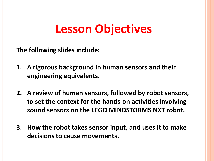## **Lesson Objectives**

**The following slides include:**

- **1. A rigorous background in human sensors and their engineering equivalents.**
- **2. A review of human sensors, followed by robot sensors, to set the context for the hands-on activities involving sound sensors on the LEGO MINDSTORMS NXT robot.**
- **3. How the robot takes sensor input, and uses it to make decisions to cause movements.**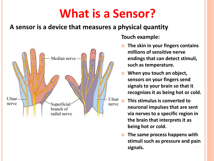# **What is a Sensor?**

### **A sensor is a device that measures a physical quantity**



#### **Touch example:**

- **The skin in your fingers contains millions of sensitive nerve endings that can detect stimuli, such as temperature.**
- **When you touch an object, sensors on your fingers send signals to your brain so that it recognizes it as being hot or cold.**
- **This stimulus is converted to neuronal impulses that are sent via nerves to a specific region in the brain that interprets it as being hot or cold.**
- **The same process happens with stimuli such as pressure and pain signals.**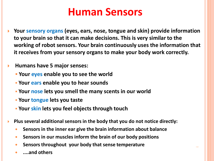### **Human Sensors**

 **Your sensory organs (eyes, ears, nose, tongue and skin) provide information to your brain so that it can make decisions. This is very similar to the working of robot sensors. Your brain continuously uses the information that it receives from your sensory organs to make your body work correctly.**

#### **Humans have 5 major senses:**

- **Your eyes enable you to see the world**
- **Your ears enable you to hear sounds**
- **Your nose lets you smell the many scents in our world**
- **Your tongue lets you taste**
- **Your skin lets you feel objects through touch**
- **Plus several additional sensors in the body that you do not notice directly:**
	- **Sensors in the inner ear give the brain information about balance**
	- **Sensors in our muscles inform the brain of our body positions**
	- **Sensors throughout your body that sense temperature**
	- **....and others**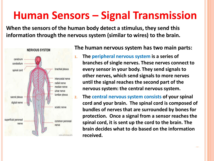### **Human Sensors – Signal Transmission**

**When the sensors of the human body detect a stimulus, they send this information through the nervous system (similar to wires) to the brain.** 



#### **The human nervous system has two main parts:**

- **1. The peripheral nervous system is a series of branches of single nerves. These nerves connect to every sensor in your body. They send signals to other nerves, which send signals to more nerves until the signal reaches the second part of the nervous system: the central nervous system.**
- **2. The central nervous system consists of your spinal cord and your brain. The spinal cord is composed of bundles of nerves that are surrounded by bones for protection. Once a signal from a sensor reaches the spinal cord, it is sent up the cord to the brain. The brain decides what to do based on the information received.**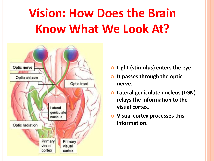# **Vision: How Does the Brain Know What We Look At?**



- **Light (stimulus) enters the eye.**
- **It passes through the optic nerve.**
- **Lateral geniculate nucleus (LGN) relays the information to the visual cortex.**
- **Visual cortex processes this information.**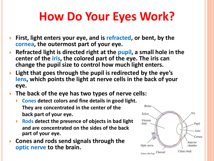# **How Do Your Eyes Work?**

- **First, light enters your eye, and is refracted, or bent, by the cornea, the outermost part of your eye.**
- **Refracted light is directed right at the pupil, a small hole in the center of the iris, the colored part of the eye. The iris can change the pupil size to control how much light enters.**
- **Light that goes through the pupil is redirected by the eye's lens, which points the light at nerve cells in the back of your eye.**
- **The back of the eye has two types of nerve cells:**
	- **Cones detect colors and fine details in good light. They are concentrated in the center of the back part of your eye.**
	- **Rods detect the presence of objects in bad light and are concentrated on the sides of the back part of your eye.**
- **Cones and rods send signals through the optic nerve to the brain.**

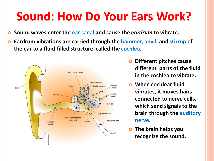# **Sound: How Do Your Ears Work?**

- **Sound waves enter the ear canal and cause the** *eardrum* **to vibrate.**
- **Eardrum vibrations are carried through the hammer, anvil, and stirrup of the ear to a fluid-filled structure called the cochlea.**



- **Different pitches cause different parts of the fluid in the cochlea to vibrate.**
- **When cochlear fluid vibrates, it moves hairs connected to nerve cells, which send signals to the brain through the auditory nerve.**
- **The brain helps you recognize the sound.**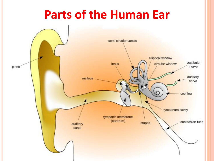## **Parts of the Human Ear**

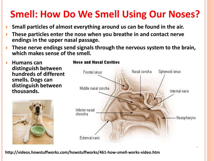### **Smell: How Do We Smell Using Our Noses?**

- **Small particles of almost everything around us can be found in the air.**
- **These particles enter the nose when you breathe in and contact nerve endings in the upper nasal passage.**
- **These nerve endings send signals through the nervous system to the brain, which makes sense of the smell.**

 **Humans can distinguish between hundreds of different smells. Dogs can distinguish between thousands.** 



### Nasal concha Sphenoid sinus Frontal sinus Middle nasal concha Internal naris Inferior nasal choncha Nasopharynx External naris

**Nose and Nasal Cavities** 

**http://videos.howstuffworks.com/howstuffworks/461-how-smell-works-video.htm**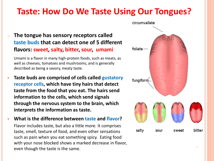### **Taste: How Do We Taste Using Our Tongues?**

#### o **The tongue has sensory receptors called taste buds that can detect one of 5 different flavors: sweet, salty, bitter, sour, umami**

Umami is a flavor in many high-protein foods, such as meats, as well as cheeses, tomatoes and mushrooms, and is generally described as being a savory, meaty taste.

 **Taste buds are comprised of cells called gustatory receptor cells, which have tiny hairs that detect taste from the food that you eat. The hairs send information to the cells, which send signals through the nervous system to the brain, which interprets the information as taste.**

 **What is the difference between taste and flavor?** Flavor includes taste, but also a little more. It comprises taste, smell, texture of food, and even other sensations such as pain when you eat something spicy. Eating food with your nose blocked shows a marked decrease in flavor, even though the taste is the same.

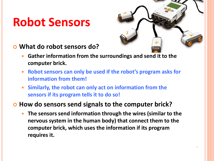## **Robot Sensors**



- **What do robot sensors do?**
	- **Gather information from the surroundings and send it to the computer brick.**
	- **Robot sensors can only be used if the robot's program asks for information from them!**
	- **Similarly, the robot can only act on information from the sensors if its program tells it to do so!**

#### $\bullet$  **How do sensors send signals to the computer brick?**

 **The sensors send information through the wires (similar to the nervous system in the human body) that connect them to the computer brick, which uses the information if its program requires it.**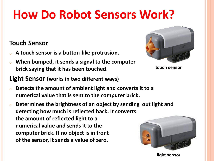# **How Do Robot Sensors Work?**

### **Touch Sensor**

- <sup>o</sup> **A touch sensor is a button-like protrusion.**
- o **When bumped, it sends a signal to the computer brick saying that it has been touched.**
- **Light Sensor (works in two different ways)**
- o **Detects the amount of ambient light and converts it to a numerical value that is sent to the computer brick.**
- o **Determines the brightness of an object by sending out light and detecting how much is reflected back. It converts the amount of reflected light to a numerical value and sends it to the computer brick. If no object is in front of the sensor, it sends a value of zero.**



**touch sensor**



**light sensor**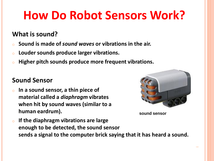# **How Do Robot Sensors Work?**

### **What is sound?**

- o **Sound is made of** *sound waves* **or vibrations in the air.**
- <sup>o</sup> **Louder sounds produce larger vibrations.**
- o **Higher pitch sounds produce more frequent vibrations.**

#### **Sound Sensor**

o **In a sound sensor, a thin piece of material called a** *diaphragm* **vibrates when hit by sound waves (similar to a human eardrum).** 



**sound sensor**

<sup>o</sup> **If the diaphragm vibrations are large enough to be detected, the sound sensor sends a signal to the computer brick saying that it has heard a sound.**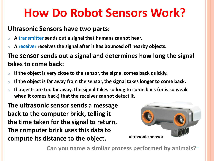## **How Do Robot Sensors Work?**

#### **Ultrasonic Sensors have two parts:**

- <sup>o</sup> **A transmitter sends out a signal that humans cannot hear.**
- A receiver receives the signal after it has bounced off nearby objects.

**The sensor sends out a signal and determines how long the signal takes to come back:**

- <sup>o</sup> **If the object is very close to the sensor, the signal comes back quickly.**
- If the object is far away from the sensor, the signal takes longer to come back.
- If objects are too far away, the signal takes so long to come back (or is so weak **when it comes back) that the receiver cannot detect it.**

**The ultrasonic sensor sends a message back to the computer brick, telling it the time taken for the signal to return. The computer brick uses this data to compute its distance to the object.**



**Can you name a similar process performed by animals?**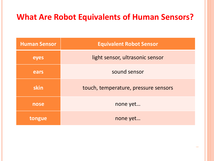### **What Are Robot Equivalents of Human Sensors?**

| <b>Human Sensor</b> | <b>Equivalent Robot Sensor</b>       |
|---------------------|--------------------------------------|
| eyes                | light sensor, ultrasonic sensor      |
| ears                | sound sensor                         |
| skin                | touch, temperature, pressure sensors |
| nose                | none yet                             |
| tongue              | none yet                             |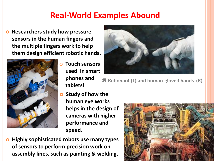### **Real-World Examples Abound**

**Parable 2 and 3 are avaint COV EXPLO 2 are SECONG Researchers** study how pressure **sensors in the human fingers and the multiple fingers work to help them design efficient robotic hands.** 



 **Touch sensors used in smart phones and tablets!**



**Robonaut (L) and human-gloved hands (R)**

- **Study of how the human eye works helps in the design of cameras with higher performance and speed.**
- **Highly sophisticated robots use many types of sensors to perform precision work on assembly lines, such as painting & welding.**